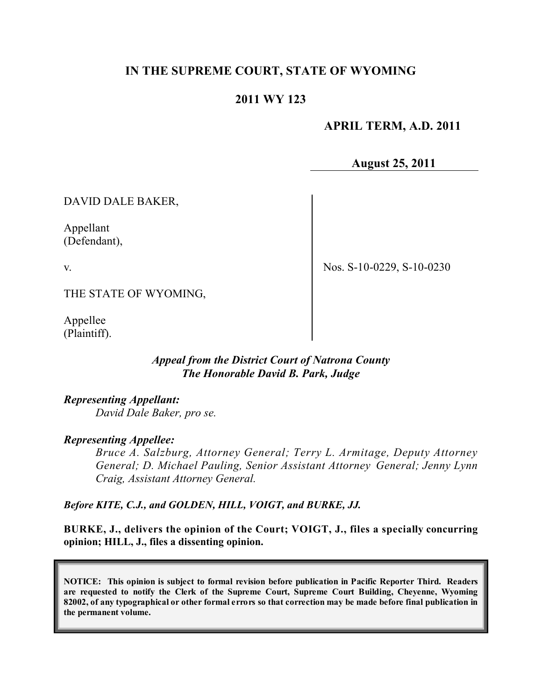## **IN THE SUPREME COURT, STATE OF WYOMING**

## **2011 WY 123**

 **APRIL TERM, A.D. 2011**

**August 25, 2011**

DAVID DALE BAKER,

Appellant (Defendant),

v.

Nos. S-10-0229, S-10-0230

THE STATE OF WYOMING,

Appellee (Plaintiff).

### *Appeal from the District Court of Natrona County The Honorable David B. Park, Judge*

*Representing Appellant: David Dale Baker, pro se.*

#### *Representing Appellee:*

*Bruce A. Salzburg, Attorney General; Terry L. Armitage, Deputy Attorney General; D. Michael Pauling, Senior Assistant Attorney General; Jenny Lynn Craig, Assistant Attorney General.* 

*Before KITE, C.J., and GOLDEN, HILL, VOIGT, and BURKE, JJ.*

**BURKE, J., delivers the opinion of the Court; VOIGT, J., files a specially concurring opinion; HILL, J., files a dissenting opinion.**

**NOTICE: This opinion is subject to formal revision before publication in Pacific Reporter Third. Readers are requested to notify the Clerk of the Supreme Court, Supreme Court Building, Cheyenne, Wyoming** 82002, of any typographical or other formal errors so that correction may be made before final publication in **the permanent volume.**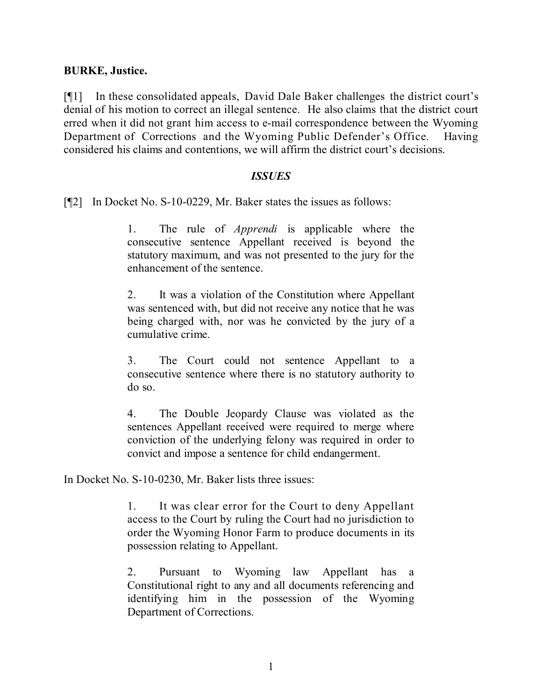### **BURKE, Justice.**

[¶1] In these consolidated appeals, David Dale Baker challenges the district court's denial of his motion to correct an illegal sentence. He also claims that the district court erred when it did not grant him access to e-mail correspondence between the Wyoming Department of Corrections and the Wyoming Public Defender's Office. Having considered his claims and contentions, we will affirm the district court's decisions.

#### *ISSUES*

[¶2] In Docket No. S-10-0229, Mr. Baker states the issues as follows:

1. The rule of *Apprendi* is applicable where the consecutive sentence Appellant received is beyond the statutory maximum, and was not presented to the jury for the enhancement of the sentence.

2. It was a violation of the Constitution where Appellant was sentenced with, but did not receive any notice that he was being charged with, nor was he convicted by the jury of a cumulative crime.

3. The Court could not sentence Appellant to a consecutive sentence where there is no statutory authority to do so.

4. The Double Jeopardy Clause was violated as the sentences Appellant received were required to merge where conviction of the underlying felony was required in order to convict and impose a sentence for child endangerment.

In Docket No. S-10-0230, Mr. Baker lists three issues:

1. It was clear error for the Court to deny Appellant access to the Court by ruling the Court had no jurisdiction to order the Wyoming Honor Farm to produce documents in its possession relating to Appellant.

2. Pursuant to Wyoming law Appellant has a Constitutional right to any and all documents referencing and identifying him in the possession of the Wyoming Department of Corrections.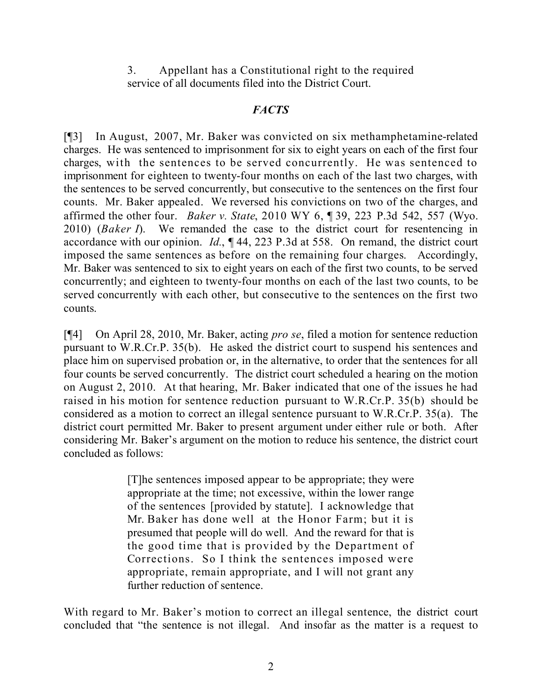3. Appellant has a Constitutional right to the required service of all documents filed into the District Court.

## *FACTS*

[¶3] In August, 2007, Mr. Baker was convicted on six methamphetamine-related charges. He was sentenced to imprisonment for six to eight years on each of the first four charges, with the sentences to be served concurrently. He was sentenced to imprisonment for eighteen to twenty-four months on each of the last two charges, with the sentences to be served concurrently, but consecutive to the sentences on the first four counts. Mr. Baker appealed. We reversed his convictions on two of the charges, and affirmed the other four. *Baker v. State*, 2010 WY 6, ¶ 39, 223 P.3d 542, 557 (Wyo. 2010) (*Baker I*). We remanded the case to the district court for resentencing in accordance with our opinion. *Id.*, ¶ 44, 223 P.3d at 558. On remand, the district court imposed the same sentences as before on the remaining four charges. Accordingly, Mr. Baker was sentenced to six to eight years on each of the first two counts, to be served concurrently; and eighteen to twenty-four months on each of the last two counts, to be served concurrently with each other, but consecutive to the sentences on the first two counts.

[¶4] On April 28, 2010, Mr. Baker, acting *pro se*, filed a motion for sentence reduction pursuant to W.R.Cr.P. 35(b). He asked the district court to suspend his sentences and place him on supervised probation or, in the alternative, to order that the sentences for all four counts be served concurrently. The district court scheduled a hearing on the motion on August 2, 2010. At that hearing, Mr. Baker indicated that one of the issues he had raised in his motion for sentence reduction pursuant to W.R.Cr.P. 35(b) should be considered as a motion to correct an illegal sentence pursuant to W.R.Cr.P. 35(a). The district court permitted Mr. Baker to present argument under either rule or both. After considering Mr. Baker's argument on the motion to reduce his sentence, the district court concluded as follows:

> [T]he sentences imposed appear to be appropriate; they were appropriate at the time; not excessive, within the lower range of the sentences [provided by statute]. I acknowledge that Mr. Baker has done well at the Honor Farm; but it is presumed that people will do well. And the reward for that is the good time that is provided by the Department of Corrections. So I think the sentences imposed were appropriate, remain appropriate, and I will not grant any further reduction of sentence.

With regard to Mr. Baker's motion to correct an illegal sentence, the district court concluded that "the sentence is not illegal. And insofar as the matter is a request to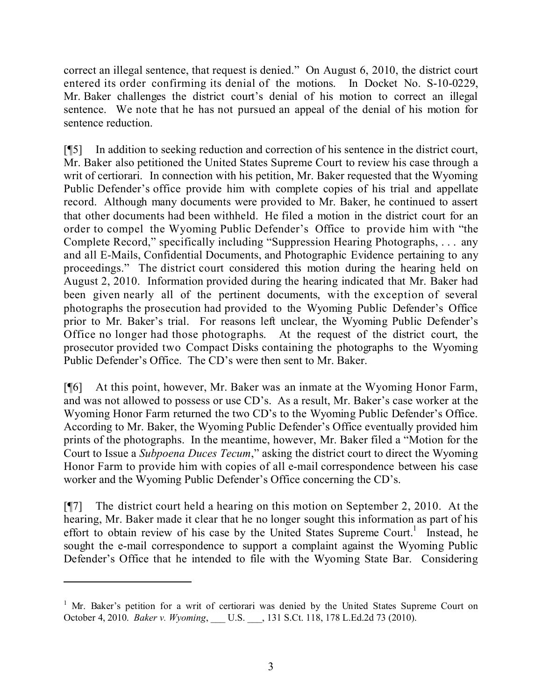correct an illegal sentence, that request is denied." On August 6, 2010, the district court entered its order confirming its denial of the motions. In Docket No. S-10-0229, Mr. Baker challenges the district court's denial of his motion to correct an illegal sentence. We note that he has not pursued an appeal of the denial of his motion for sentence reduction.

[¶5] In addition to seeking reduction and correction of his sentence in the district court, Mr. Baker also petitioned the United States Supreme Court to review his case through a writ of certiorari. In connection with his petition, Mr. Baker requested that the Wyoming Public Defender's office provide him with complete copies of his trial and appellate record. Although many documents were provided to Mr. Baker, he continued to assert that other documents had been withheld. He filed a motion in the district court for an order to compel the Wyoming Public Defender's Office to provide him with "the Complete Record," specifically including "Suppression Hearing Photographs, . . . any and all E-Mails, Confidential Documents, and Photographic Evidence pertaining to any proceedings." The district court considered this motion during the hearing held on August 2, 2010. Information provided during the hearing indicated that Mr. Baker had been given nearly all of the pertinent documents, with the exception of several photographs the prosecution had provided to the Wyoming Public Defender's Office prior to Mr. Baker's trial. For reasons left unclear, the Wyoming Public Defender's Office no longer had those photographs. At the request of the district court, the prosecutor provided two Compact Disks containing the photographs to the Wyoming Public Defender's Office. The CD's were then sent to Mr. Baker.

[¶6] At this point, however, Mr. Baker was an inmate at the Wyoming Honor Farm, and was not allowed to possess or use CD's. As a result, Mr. Baker's case worker at the Wyoming Honor Farm returned the two CD's to the Wyoming Public Defender's Office. According to Mr. Baker, the Wyoming Public Defender's Office eventually provided him prints of the photographs. In the meantime, however, Mr. Baker filed a "Motion for the Court to Issue a *Subpoena Duces Tecum*," asking the district court to direct the Wyoming Honor Farm to provide him with copies of all e-mail correspondence between his case worker and the Wyoming Public Defender's Office concerning the CD's.

[¶7] The district court held a hearing on this motion on September 2, 2010. At the hearing, Mr. Baker made it clear that he no longer sought this information as part of his effort to obtain review of his case by the United States Supreme Court.<sup>1</sup> Instead, he sought the e-mail correspondence to support a complaint against the Wyoming Public Defender's Office that he intended to file with the Wyoming State Bar. Considering

<sup>&</sup>lt;sup>1</sup> Mr. Baker's petition for a writ of certiorari was denied by the United States Supreme Court on October 4, 2010. *Baker v. Wyoming*, \_\_\_ U.S. \_\_\_, 131 S.Ct. 118, 178 L.Ed.2d 73 (2010).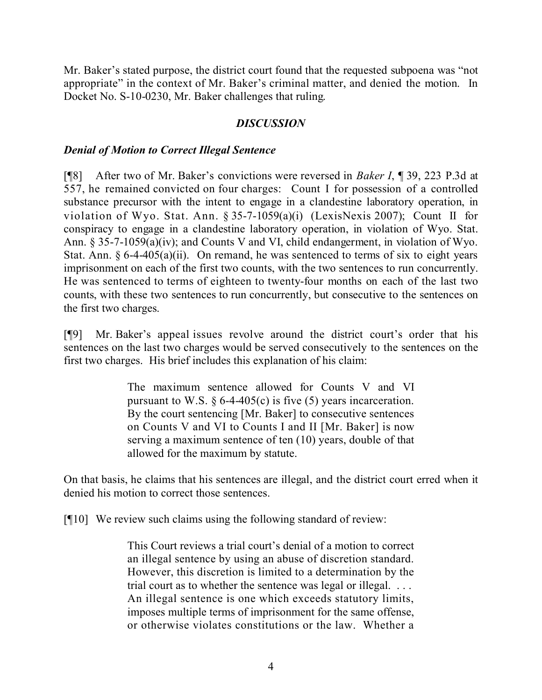Mr. Baker's stated purpose, the district court found that the requested subpoena was "not appropriate" in the context of Mr. Baker's criminal matter, and denied the motion. In Docket No. S-10-0230, Mr. Baker challenges that ruling.

### *DISCUSSION*

### *Denial of Motion to Correct Illegal Sentence*

[¶8] After two of Mr. Baker's convictions were reversed in *Baker I*, ¶ 39, 223 P.3d at 557, he remained convicted on four charges: Count I for possession of a controlled substance precursor with the intent to engage in a clandestine laboratory operation, in violation of Wyo. Stat. Ann. § 35-7-1059(a)(i) (LexisNexis 2007); Count II for conspiracy to engage in a clandestine laboratory operation, in violation of Wyo. Stat. Ann. § 35-7-1059(a)(iv); and Counts V and VI, child endangerment, in violation of Wyo. Stat. Ann.  $\S 6-4-405(a)(ii)$ . On remand, he was sentenced to terms of six to eight years imprisonment on each of the first two counts, with the two sentences to run concurrently. He was sentenced to terms of eighteen to twenty-four months on each of the last two counts, with these two sentences to run concurrently, but consecutive to the sentences on the first two charges.

[¶9] Mr. Baker's appeal issues revolve around the district court's order that his sentences on the last two charges would be served consecutively to the sentences on the first two charges. His brief includes this explanation of his claim:

> The maximum sentence allowed for Counts V and VI pursuant to W.S.  $\frac{6}{9}$  6-4-405(c) is five (5) years incarceration. By the court sentencing [Mr. Baker] to consecutive sentences on Counts V and VI to Counts I and II [Mr. Baker] is now serving a maximum sentence of ten (10) years, double of that allowed for the maximum by statute.

On that basis, he claims that his sentences are illegal, and the district court erred when it denied his motion to correct those sentences.

[¶10] We review such claims using the following standard of review:

This Court reviews a trial court's denial of a motion to correct an illegal sentence by using an abuse of discretion standard. However, this discretion is limited to a determination by the trial court as to whether the sentence was legal or illegal. ... An illegal sentence is one which exceeds statutory limits, imposes multiple terms of imprisonment for the same offense, or otherwise violates constitutions or the law. Whether a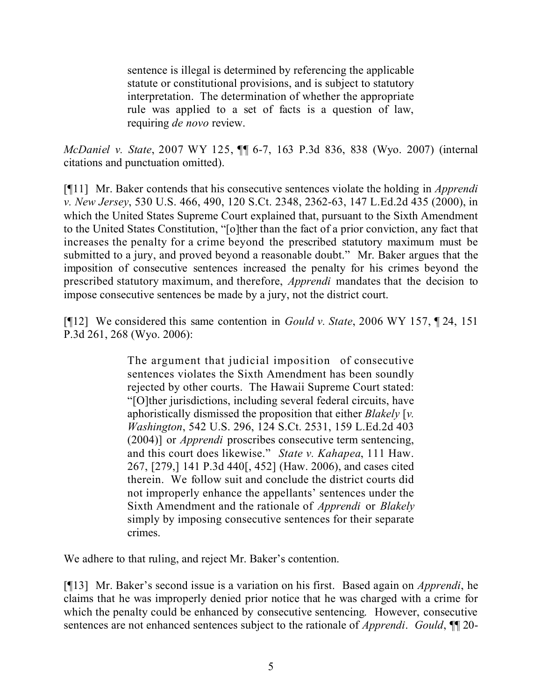sentence is illegal is determined by referencing the applicable statute or constitutional provisions, and is subject to statutory interpretation. The determination of whether the appropriate rule was applied to a set of facts is a question of law, requiring *de novo* review.

*McDaniel v. State*, 2007 WY 125, ¶¶ 6-7, 163 P.3d 836, 838 (Wyo. 2007) (internal citations and punctuation omitted).

[¶11] Mr. Baker contends that his consecutive sentences violate the holding in *Apprendi v. New Jersey*, 530 U.S. 466, 490, 120 S.Ct. 2348, 2362-63, 147 L.Ed.2d 435 (2000), in which the United States Supreme Court explained that, pursuant to the Sixth Amendment to the United States Constitution, "[o]ther than the fact of a prior conviction, any fact that increases the penalty for a crime beyond the prescribed statutory maximum must be submitted to a jury, and proved beyond a reasonable doubt." Mr. Baker argues that the imposition of consecutive sentences increased the penalty for his crimes beyond the prescribed statutory maximum, and therefore, *Apprendi* mandates that the decision to impose consecutive sentences be made by a jury, not the district court.

[¶12] We considered this same contention in *Gould v. State*, 2006 WY 157, ¶ 24, 151 P.3d 261, 268 (Wyo. 2006):

> The argument that judicial imposition of consecutive sentences violates the Sixth Amendment has been soundly rejected by other courts. The Hawaii Supreme Court stated: "[O]ther jurisdictions, including several federal circuits, have aphoristically dismissed the proposition that either *Blakely* [*v. Washington*, 542 U.S. 296, 124 S.Ct. 2531, 159 L.Ed.2d 403 (2004)] or *Apprendi* proscribes consecutive term sentencing, and this court does likewise." *State v. Kahapea*, 111 Haw. 267, [279,] 141 P.3d 440[, 452] (Haw. 2006), and cases cited therein. We follow suit and conclude the district courts did not improperly enhance the appellants' sentences under the Sixth Amendment and the rationale of *Apprendi* or *Blakely* simply by imposing consecutive sentences for their separate crimes.

We adhere to that ruling, and reject Mr. Baker's contention.

[¶13] Mr. Baker's second issue is a variation on his first. Based again on *Apprendi*, he claims that he was improperly denied prior notice that he was charged with a crime for which the penalty could be enhanced by consecutive sentencing. However, consecutive sentences are not enhanced sentences subject to the rationale of *Apprendi*. *Gould*, ¶¶ 20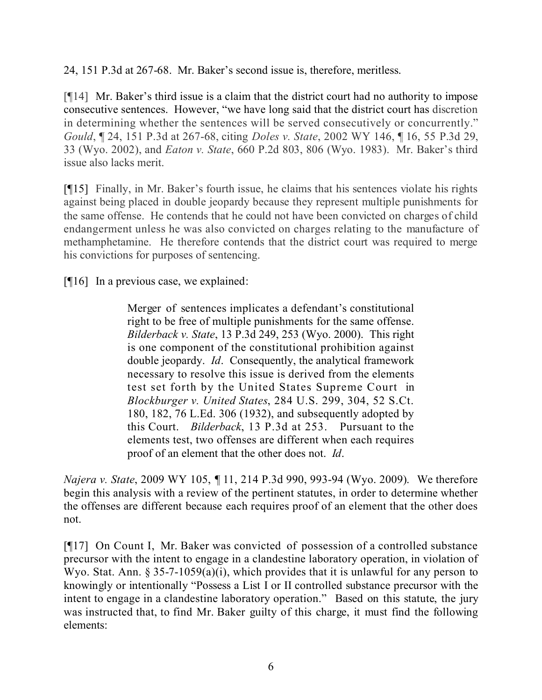24, 151 P.3d at 267-68. Mr. Baker's second issue is, therefore, meritless.

[¶14] Mr. Baker's third issue is a claim that the district court had no authority to impose consecutive sentences. However, "we have long said that the district court has discretion in determining whether the sentences will be served consecutively or concurrently." *Gould*, ¶ 24, 151 P.3d at 267-68, citing *Doles v. State*, 2002 WY 146, ¶ 16, 55 P.3d 29, 33 (Wyo. 2002), and *Eaton v. State*, 660 P.2d 803, 806 (Wyo. 1983). Mr. Baker's third issue also lacks merit.

[¶15] Finally, in Mr. Baker's fourth issue, he claims that his sentences violate his rights against being placed in double jeopardy because they represent multiple punishments for the same offense. He contends that he could not have been convicted on charges of child endangerment unless he was also convicted on charges relating to the manufacture of methamphetamine. He therefore contends that the district court was required to merge his convictions for purposes of sentencing.

[¶16] In a previous case, we explained:

Merger of sentences implicates a defendant's constitutional right to be free of multiple punishments for the same offense. *Bilderback v. State*, 13 P.3d 249, 253 (Wyo. 2000). This right is one component of the constitutional prohibition against double jeopardy. *Id*. Consequently, the analytical framework necessary to resolve this issue is derived from the elements test set forth by the United States Supreme Court in *Blockburger v. United States*, 284 U.S. 299, 304, 52 S.Ct. 180, 182, 76 L.Ed. 306 (1932), and subsequently adopted by this Court. *Bilderback*, 13 P.3d at 253. Pursuant to the elements test, two offenses are different when each requires proof of an element that the other does not. *Id*.

*Najera v. State*, 2009 WY 105, ¶ 11, 214 P.3d 990, 993-94 (Wyo. 2009). We therefore begin this analysis with a review of the pertinent statutes, in order to determine whether the offenses are different because each requires proof of an element that the other does not.

[¶17] On Count I, Mr. Baker was convicted of possession of a controlled substance precursor with the intent to engage in a clandestine laboratory operation, in violation of Wyo. Stat. Ann. § 35-7-1059(a)(i), which provides that it is unlawful for any person to knowingly or intentionally "Possess a List I or II controlled substance precursor with the intent to engage in a clandestine laboratory operation." Based on this statute, the jury was instructed that, to find Mr. Baker guilty of this charge, it must find the following elements: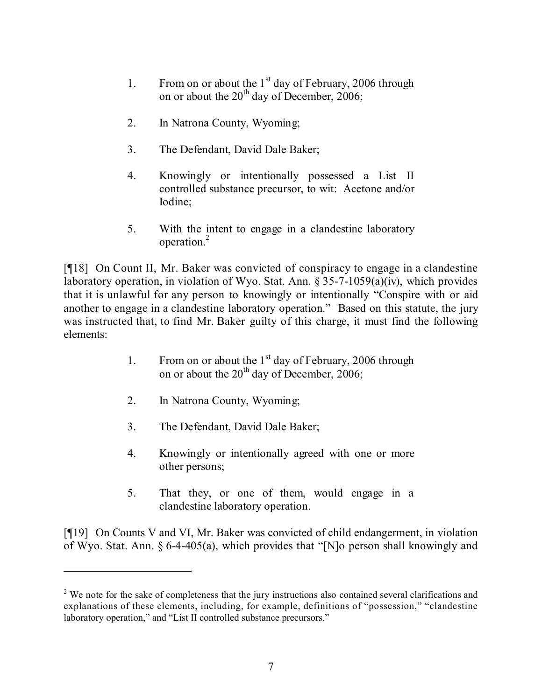- 1. From on or about the  $1<sup>st</sup>$  day of February, 2006 through on or about the  $20<sup>th</sup>$  day of December, 2006;
- 2. In Natrona County, Wyoming;
- 3. The Defendant, David Dale Baker;
- 4. Knowingly or intentionally possessed a List II controlled substance precursor, to wit: Acetone and/or Iodine;
- 5. With the intent to engage in a clandestine laboratory operation.<sup>2</sup>

[¶18] On Count II, Mr. Baker was convicted of conspiracy to engage in a clandestine laboratory operation, in violation of Wyo. Stat. Ann. § 35-7-1059(a)(iv), which provides that it is unlawful for any person to knowingly or intentionally "Conspire with or aid another to engage in a clandestine laboratory operation." Based on this statute, the jury was instructed that, to find Mr. Baker guilty of this charge, it must find the following elements:

- 1. From on or about the  $1<sup>st</sup>$  day of February, 2006 through on or about the  $20<sup>th</sup>$  day of December, 2006;
- 2. In Natrona County, Wyoming;

- 3. The Defendant, David Dale Baker;
- 4. Knowingly or intentionally agreed with one or more other persons;
- 5. That they, or one of them, would engage in a clandestine laboratory operation.

[¶19] On Counts V and VI, Mr. Baker was convicted of child endangerment, in violation of Wyo. Stat. Ann. § 6-4-405(a), which provides that "[N]o person shall knowingly and

<sup>&</sup>lt;sup>2</sup> We note for the sake of completeness that the jury instructions also contained several clarifications and explanations of these elements, including, for example, definitions of "possession," "clandestine laboratory operation," and "List II controlled substance precursors."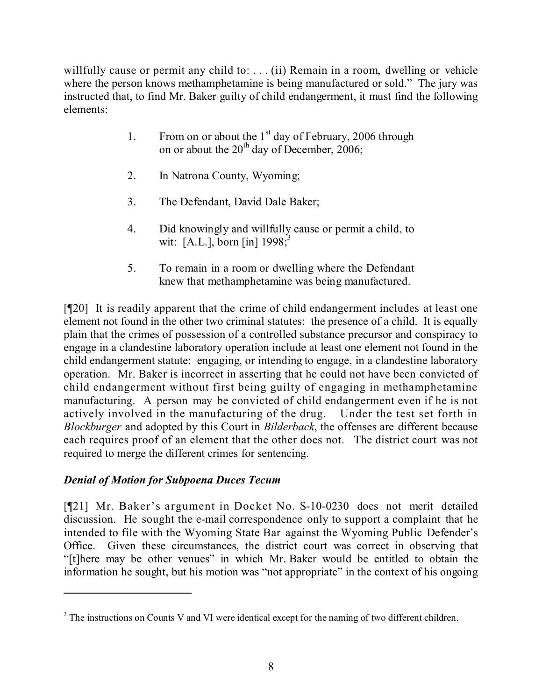willfully cause or permit any child to: . . . (ii) Remain in a room, dwelling or vehicle where the person knows methamphetamine is being manufactured or sold." The jury was instructed that, to find Mr. Baker guilty of child endangerment, it must find the following elements:

- 1. From on or about the  $1<sup>st</sup>$  day of February, 2006 through on or about the  $20<sup>th</sup>$  day of December, 2006;
- 2. In Natrona County, Wyoming;
- 3. The Defendant, David Dale Baker;
- 4. Did knowingly and willfully cause or permit a child, to wit: [A.L.], born [in] 1998;<sup>3</sup>
- 5. To remain in a room or dwelling where the Defendant knew that methamphetamine was being manufactured.

[¶20] It is readily apparent that the crime of child endangerment includes at least one element not found in the other two criminal statutes: the presence of a child. It is equally plain that the crimes of possession of a controlled substance precursor and conspiracy to engage in a clandestine laboratory operation include at least one element not found in the child endangerment statute: engaging, or intending to engage, in a clandestine laboratory operation. Mr. Baker is incorrect in asserting that he could not have been convicted of child endangerment without first being guilty of engaging in methamphetamine manufacturing. A person may be convicted of child endangerment even if he is not actively involved in the manufacturing of the drug. Under the test set forth in *Blockburger* and adopted by this Court in *Bilderback*, the offenses are different because each requires proof of an element that the other does not. The district court was not required to merge the different crimes for sentencing.

# *Denial of Motion for Subpoena Duces Tecum*

[¶21] Mr. Baker's argument in Docket No. S-10-0230 does not merit detailed discussion. He sought the e-mail correspondence only to support a complaint that he intended to file with the Wyoming State Bar against the Wyoming Public Defender's Office. Given these circumstances, the district court was correct in observing that "[t]here may be other venues" in which Mr. Baker would be entitled to obtain the information he sought, but his motion was "not appropriate" in the context of his ongoing

<sup>&</sup>lt;sup>3</sup> The instructions on Counts V and VI were identical except for the naming of two different children.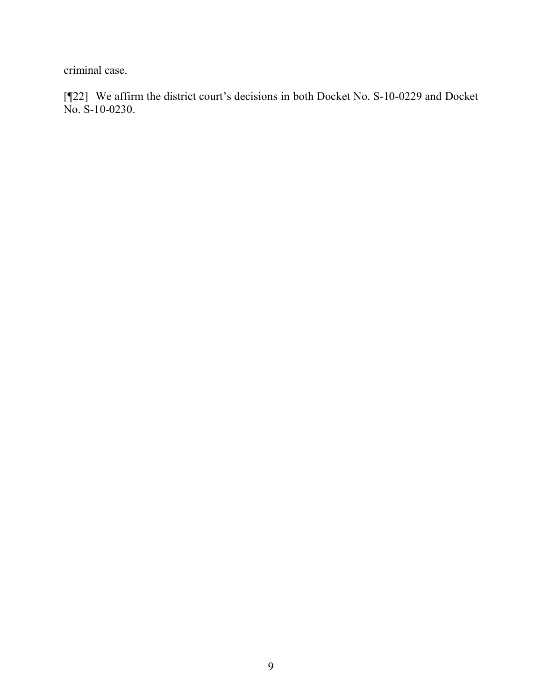criminal case.

[¶22] We affirm the district court's decisions in both Docket No. S-10-0229 and Docket No. S-10-0230.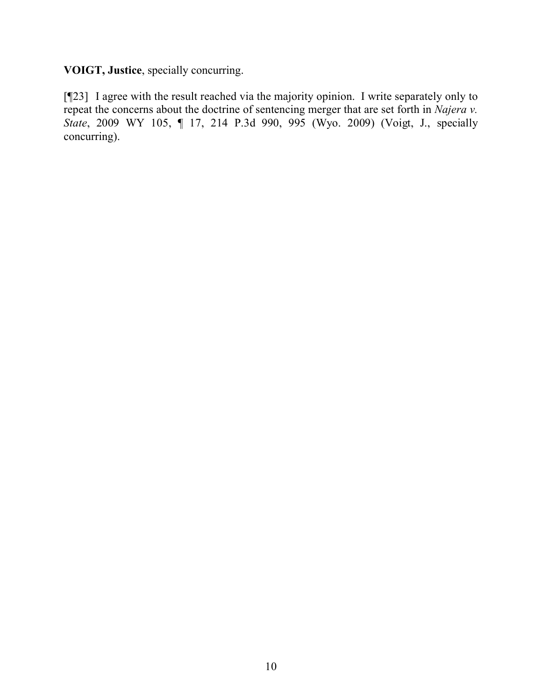**VOIGT, Justice**, specially concurring.

[¶23] I agree with the result reached via the majority opinion. I write separately only to repeat the concerns about the doctrine of sentencing merger that are set forth in *Najera v. State*, 2009 WY 105, ¶ 17, 214 P.3d 990, 995 (Wyo. 2009) (Voigt, J., specially concurring).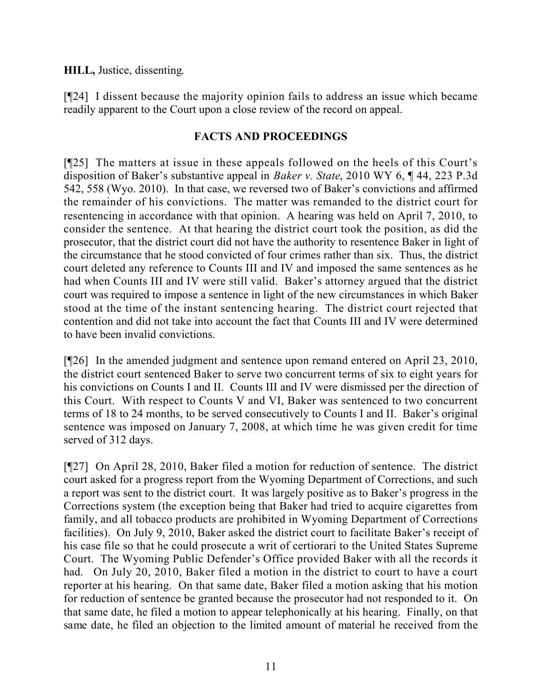## **HILL,** Justice, dissenting.

[¶24] I dissent because the majority opinion fails to address an issue which became readily apparent to the Court upon a close review of the record on appeal.

## **FACTS AND PROCEEDINGS**

[¶25] The matters at issue in these appeals followed on the heels of this Court's disposition of Baker's substantive appeal in *Baker v. State*, 2010 WY 6, ¶ 44, 223 P.3d 542, 558 (Wyo. 2010). In that case, we reversed two of Baker's convictions and affirmed the remainder of his convictions. The matter was remanded to the district court for resentencing in accordance with that opinion. A hearing was held on April 7, 2010, to consider the sentence. At that hearing the district court took the position, as did the prosecutor, that the district court did not have the authority to resentence Baker in light of the circumstance that he stood convicted of four crimes rather than six. Thus, the district court deleted any reference to Counts III and IV and imposed the same sentences as he had when Counts III and IV were still valid. Baker's attorney argued that the district court was required to impose a sentence in light of the new circumstances in which Baker stood at the time of the instant sentencing hearing. The district court rejected that contention and did not take into account the fact that Counts III and IV were determined to have been invalid convictions.

[¶26] In the amended judgment and sentence upon remand entered on April 23, 2010, the district court sentenced Baker to serve two concurrent terms of six to eight years for his convictions on Counts I and II. Counts III and IV were dismissed per the direction of this Court. With respect to Counts V and VI, Baker was sentenced to two concurrent terms of 18 to 24 months, to be served consecutively to Counts I and II. Baker's original sentence was imposed on January 7, 2008, at which time he was given credit for time served of 312 days.

[¶27] On April 28, 2010, Baker filed a motion for reduction of sentence. The district court asked for a progress report from the Wyoming Department of Corrections, and such a report was sent to the district court. It was largely positive as to Baker's progress in the Corrections system (the exception being that Baker had tried to acquire cigarettes from family, and all tobacco products are prohibited in Wyoming Department of Corrections facilities). On July 9, 2010, Baker asked the district court to facilitate Baker's receipt of his case file so that he could prosecute a writ of certiorari to the United States Supreme Court. The Wyoming Public Defender's Office provided Baker with all the records it had. On July 20, 2010, Baker filed a motion in the district to court to have a court reporter at his hearing. On that same date, Baker filed a motion asking that his motion for reduction of sentence be granted because the prosecutor had not responded to it. On that same date, he filed a motion to appear telephonically at his hearing. Finally, on that same date, he filed an objection to the limited amount of material he received from the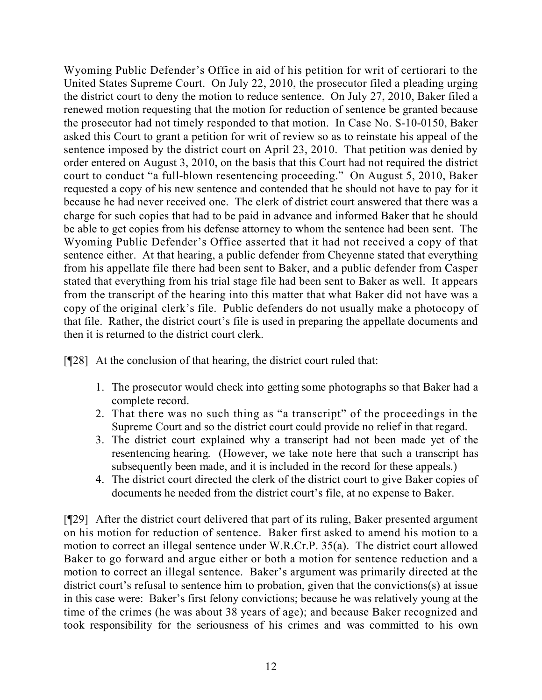Wyoming Public Defender's Office in aid of his petition for writ of certiorari to the United States Supreme Court. On July 22, 2010, the prosecutor filed a pleading urging the district court to deny the motion to reduce sentence. On July 27, 2010, Baker filed a renewed motion requesting that the motion for reduction of sentence be granted because the prosecutor had not timely responded to that motion. In Case No. S-10-0150, Baker asked this Court to grant a petition for writ of review so as to reinstate his appeal of the sentence imposed by the district court on April 23, 2010. That petition was denied by order entered on August 3, 2010, on the basis that this Court had not required the district court to conduct "a full-blown resentencing proceeding." On August 5, 2010, Baker requested a copy of his new sentence and contended that he should not have to pay for it because he had never received one. The clerk of district court answered that there was a charge for such copies that had to be paid in advance and informed Baker that he should be able to get copies from his defense attorney to whom the sentence had been sent. The Wyoming Public Defender's Office asserted that it had not received a copy of that sentence either. At that hearing, a public defender from Cheyenne stated that everything from his appellate file there had been sent to Baker, and a public defender from Casper stated that everything from his trial stage file had been sent to Baker as well. It appears from the transcript of the hearing into this matter that what Baker did not have was a copy of the original clerk's file. Public defenders do not usually make a photocopy of that file. Rather, the district court's file is used in preparing the appellate documents and then it is returned to the district court clerk.

[¶28] At the conclusion of that hearing, the district court ruled that:

- 1. The prosecutor would check into getting some photographs so that Baker had a complete record.
- 2. That there was no such thing as "a transcript" of the proceedings in the Supreme Court and so the district court could provide no relief in that regard.
- 3. The district court explained why a transcript had not been made yet of the resentencing hearing. (However, we take note here that such a transcript has subsequently been made, and it is included in the record for these appeals.)
- 4. The district court directed the clerk of the district court to give Baker copies of documents he needed from the district court's file, at no expense to Baker.

[¶29] After the district court delivered that part of its ruling, Baker presented argument on his motion for reduction of sentence. Baker first asked to amend his motion to a motion to correct an illegal sentence under W.R.Cr.P. 35(a). The district court allowed Baker to go forward and argue either or both a motion for sentence reduction and a motion to correct an illegal sentence. Baker's argument was primarily directed at the district court's refusal to sentence him to probation, given that the convictions(s) at issue in this case were: Baker's first felony convictions; because he was relatively young at the time of the crimes (he was about 38 years of age); and because Baker recognized and took responsibility for the seriousness of his crimes and was committed to his own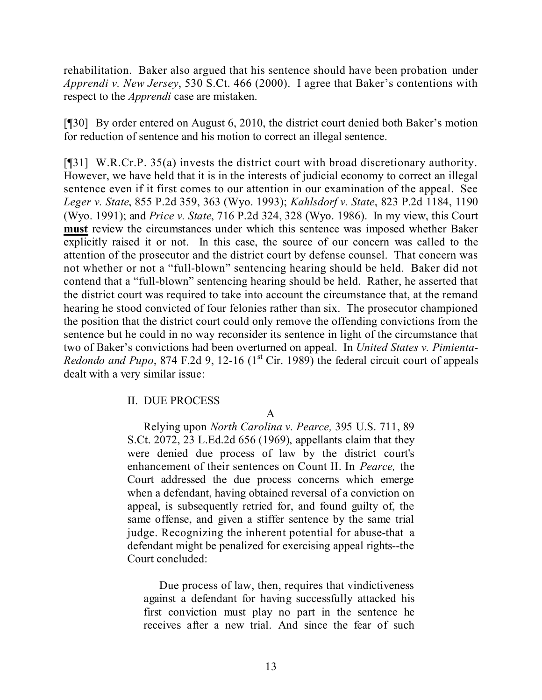rehabilitation. Baker also argued that his sentence should have been probation under *Apprendi v. New Jersey*, 530 S.Ct. 466 (2000). I agree that Baker's contentions with respect to the *Apprendi* case are mistaken.

[¶30] By order entered on August 6, 2010, the district court denied both Baker's motion for reduction of sentence and his motion to correct an illegal sentence.

[¶31] W.R.Cr.P. 35(a) invests the district court with broad discretionary authority. However, we have held that it is in the interests of judicial economy to correct an illegal sentence even if it first comes to our attention in our examination of the appeal. See *Leger v. State*, 855 P.2d 359, 363 (Wyo. 1993); *Kahlsdorf v. State*, 823 P.2d 1184, 1190 (Wyo. 1991); and *Price v. State*, 716 P.2d 324, 328 (Wyo. 1986). In my view, this Court **must** review the circumstances under which this sentence was imposed whether Baker explicitly raised it or not. In this case, the source of our concern was called to the attention of the prosecutor and the district court by defense counsel. That concern was not whether or not a "full-blown" sentencing hearing should be held. Baker did not contend that a "full-blown" sentencing hearing should be held. Rather, he asserted that the district court was required to take into account the circumstance that, at the remand hearing he stood convicted of four felonies rather than six. The prosecutor championed the position that the district court could only remove the offending convictions from the sentence but he could in no way reconsider its sentence in light of the circumstance that two of Baker's convictions had been overturned on appeal. In *United States v. Pimienta-Redondo and Pupo*, 874 F.2d 9, 12-16 (1<sup>st</sup> Cir. 1989) the federal circuit court of appeals dealt with a very similar issue:

## II. DUE PROCESS

A

Relying upon *North Carolina v. Pearce,* 395 U.S. 711, 89 S.Ct. 2072, 23 L.Ed.2d 656 (1969), appellants claim that they were denied due process of law by the district court's enhancement of their sentences on Count II. In *Pearce,* the Court addressed the due process concerns which emerge when a defendant, having obtained reversal of a conviction on appeal, is subsequently retried for, and found guilty of, the same offense, and given a stiffer sentence by the same trial judge. Recognizing the inherent potential for abuse-that a defendant might be penalized for exercising appeal rights--the Court concluded:

Due process of law, then, requires that vindictiveness against a defendant for having successfully attacked his first conviction must play no part in the sentence he receives after a new trial. And since the fear of such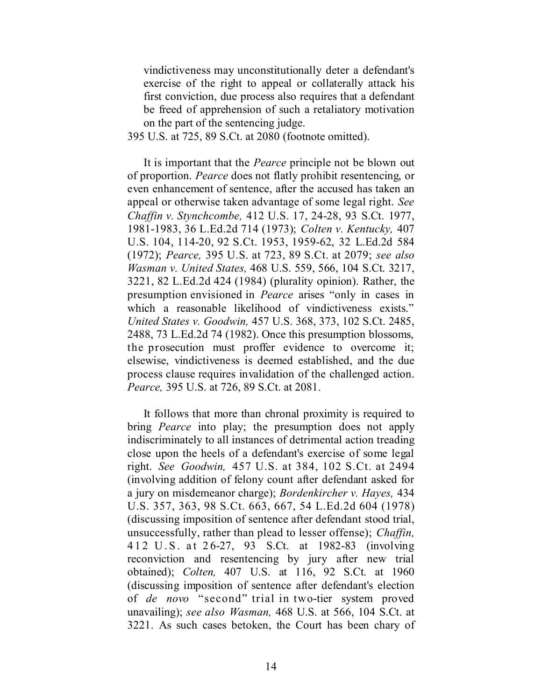vindictiveness may unconstitutionally deter a defendant's exercise of the right to appeal or collaterally attack his first conviction, due process also requires that a defendant be freed of apprehension of such a retaliatory motivation on the part of the sentencing judge.

395 U.S. at 725, 89 S.Ct. at 2080 (footnote omitted).

It is important that the *Pearce* principle not be blown out of proportion. *Pearce* does not flatly prohibit resentencing, or even enhancement of sentence, after the accused has taken an appeal or otherwise taken advantage of some legal right. *See Chaffin v. Stynchcombe,* 412 U.S. 17, 24-28, 93 S.Ct. 1977, 1981-1983, 36 L.Ed.2d 714 (1973); *Colten v. Kentucky,* 407 U.S. 104, 114-20, 92 S.Ct. 1953, 1959-62, 32 L.Ed.2d 584 (1972); *Pearce,* 395 U.S. at 723, 89 S.Ct. at 2079; *see also Wasman v. United States,* 468 U.S. 559, 566, 104 S.Ct. 3217, 3221, 82 L.Ed.2d 424 (1984) (plurality opinion). Rather, the presumption envisioned in *Pearce* arises "only in cases in which a reasonable likelihood of vindictiveness exists." *United States v. Goodwin,* 457 U.S. 368, 373, 102 S.Ct. 2485, 2488, 73 L.Ed.2d 74 (1982). Once this presumption blossoms, the prosecution must proffer evidence to overcome it; elsewise, vindictiveness is deemed established, and the due process clause requires invalidation of the challenged action. *Pearce,* 395 U.S. at 726, 89 S.Ct. at 2081.

It follows that more than chronal proximity is required to bring *Pearce* into play; the presumption does not apply indiscriminately to all instances of detrimental action treading close upon the heels of a defendant's exercise of some legal right. *See Goodwin,* 457 U.S. at 384, 102 S.Ct. at 2494 (involving addition of felony count after defendant asked for a jury on misdemeanor charge); *Bordenkircher v. Hayes,* 434 U.S. 357, 363, 98 S.Ct. 663, 667, 54 L.Ed.2d 604 (1978) (discussing imposition of sentence after defendant stood trial, unsuccessfully, rather than plead to lesser offense); *Chaffin,* 412 U.S. at 26-27, 93 S.Ct. at 1982-83 (involving reconviction and resentencing by jury after new trial obtained); *Colten,* 407 U.S. at 116, 92 S.Ct. at 1960 (discussing imposition of sentence after defendant's election of *de novo* "second" trial in two-tier system proved unavailing); *see also Wasman,* 468 U.S. at 566, 104 S.Ct. at 3221. As such cases betoken, the Court has been chary of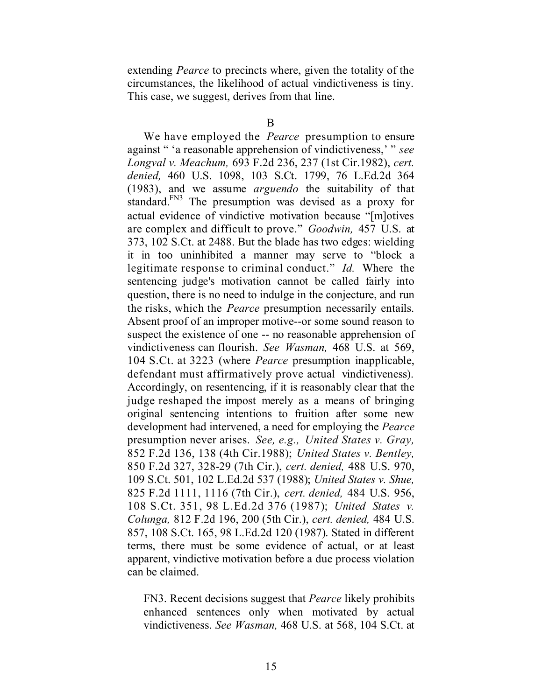extending *Pearce* to precincts where, given the totality of the circumstances, the likelihood of actual vindictiveness is tiny. This case, we suggest, derives from that line.

We have employed the *Pearce* presumption to ensure against " 'a reasonable apprehension of vindictiveness,' " *see Longval v. Meachum,* 693 F.2d 236, 237 (1st Cir.1982), *cert. denied,* 460 U.S. 1098, 103 S.Ct. 1799, 76 L.Ed.2d 364 (1983), and we assume *arguendo* the suitability of that standard.<sup>FN3</sup> The presumption was devised as a proxy for actual evidence of vindictive motivation because "[m]otives are complex and difficult to prove." *Goodwin,* 457 U.S. at 373, 102 S.Ct. at 2488. But the blade has two edges: wielding it in too uninhibited a manner may serve to "block a legitimate response to criminal conduct." *Id.* Where the sentencing judge's motivation cannot be called fairly into question, there is no need to indulge in the conjecture, and run the risks, which the *Pearce* presumption necessarily entails. Absent proof of an improper motive--or some sound reason to suspect the existence of one -- no reasonable apprehension of vindictiveness can flourish. *See Wasman,* 468 U.S. at 569, 104 S.Ct. at 3223 (where *Pearce* presumption inapplicable, defendant must affirmatively prove actual vindictiveness). Accordingly, on resentencing, if it is reasonably clear that the judge reshaped the impost merely as a means of bringing original sentencing intentions to fruition after some new development had intervened, a need for employing the *Pearce* presumption never arises. *See, e.g., United States v. Gray,* 852 F.2d 136, 138 (4th Cir.1988); *United States v. Bentley,* 850 F.2d 327, 328-29 (7th Cir.), *cert. denied,* 488 U.S. 970, 109 S.Ct. 501, 102 L.Ed.2d 537 (1988); *United States v. Shue,* 825 F.2d 1111, 1116 (7th Cir.), *cert. denied,* 484 U.S. 956, 108 S.Ct. 351, 98 L.Ed.2d 376 (1987); *United States v. Colunga,* 812 F.2d 196, 200 (5th Cir.), *cert. denied,* 484 U.S. 857, 108 S.Ct. 165, 98 L.Ed.2d 120 (1987). Stated in different terms, there must be some evidence of actual, or at least apparent, vindictive motivation before a due process violation can be claimed.

FN3. Recent decisions suggest that *Pearce* likely prohibits enhanced sentences only when motivated by actual vindictiveness. *See Wasman,* 468 U.S. at 568, 104 S.Ct. at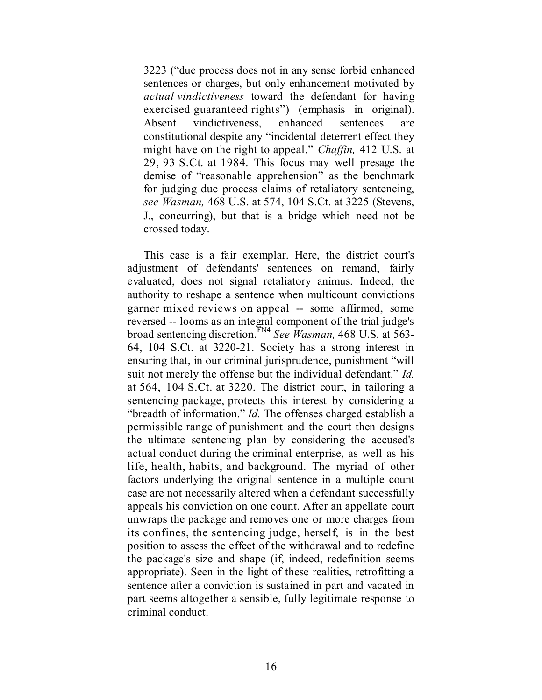3223 ("due process does not in any sense forbid enhanced sentences or charges, but only enhancement motivated by *actual vindictiveness* toward the defendant for having exercised guaranteed rights") (emphasis in original). Absent vindictiveness, enhanced sentences are constitutional despite any "incidental deterrent effect they might have on the right to appeal." *Chaffin,* 412 U.S. at 29, 93 S.Ct. at 1984. This focus may well presage the demise of "reasonable apprehension" as the benchmark for judging due process claims of retaliatory sentencing, *see Wasman,* 468 U.S. at 574, 104 S.Ct. at 3225 (Stevens, J., concurring), but that is a bridge which need not be crossed today.

This case is a fair exemplar. Here, the district court's adjustment of defendants' sentences on remand, fairly evaluated, does not signal retaliatory animus. Indeed, the authority to reshape a sentence when multicount convictions garner mixed reviews on appeal -- some affirmed, some reversed -- looms as an integral component of the trial judge's broad sentencing discretion. FN4 *See Wasman,* 468 U.S. at 563- 64, 104 S.Ct. at 3220-21. Society has a strong interest in ensuring that, in our criminal jurisprudence, punishment "will suit not merely the offense but the individual defendant." *Id.* at 564, 104 S.Ct. at 3220. The district court, in tailoring a sentencing package, protects this interest by considering a "breadth of information." *Id.* The offenses charged establish a permissible range of punishment and the court then designs the ultimate sentencing plan by considering the accused's actual conduct during the criminal enterprise, as well as his life, health, habits, and background. The myriad of other factors underlying the original sentence in a multiple count case are not necessarily altered when a defendant successfully appeals his conviction on one count. After an appellate court unwraps the package and removes one or more charges from its confines, the sentencing judge, herself, is in the best position to assess the effect of the withdrawal and to redefine the package's size and shape (if, indeed, redefinition seems appropriate). Seen in the light of these realities, retrofitting a sentence after a conviction is sustained in part and vacated in part seems altogether a sensible, fully legitimate response to criminal conduct.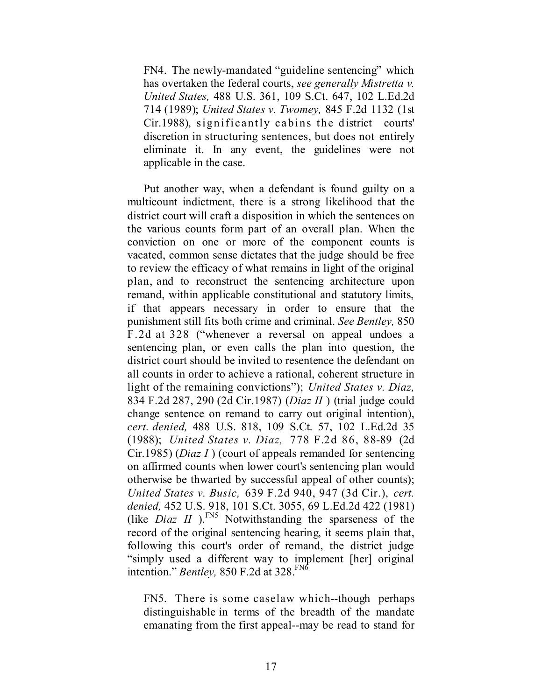FN4. The newly-mandated "guideline sentencing" which has overtaken the federal courts, *see generally Mistretta v. United States,* 488 U.S. 361, 109 S.Ct. 647, 102 L.Ed.2d 714 (1989); *United States v. Twomey,* 845 F.2d 1132 (1st Cir.1988), significantly cabins the district courts' discretion in structuring sentences, but does not entirely eliminate it. In any event, the guidelines were not applicable in the case.

Put another way, when a defendant is found guilty on a multicount indictment, there is a strong likelihood that the district court will craft a disposition in which the sentences on the various counts form part of an overall plan. When the conviction on one or more of the component counts is vacated, common sense dictates that the judge should be free to review the efficacy of what remains in light of the original plan, and to reconstruct the sentencing architecture upon remand, within applicable constitutional and statutory limits, if that appears necessary in order to ensure that the punishment still fits both crime and criminal. *See Bentley,* 850 F.2d at 328 ("whenever a reversal on appeal undoes a sentencing plan, or even calls the plan into question, the district court should be invited to resentence the defendant on all counts in order to achieve a rational, coherent structure in light of the remaining convictions"); *United States v. Diaz,* 834 F.2d 287, 290 (2d Cir.1987) (*Diaz II* ) (trial judge could change sentence on remand to carry out original intention), *cert. denied,* 488 U.S. 818, 109 S.Ct. 57, 102 L.Ed.2d 35 (1988); *United States v. Diaz,* 778 F.2d 86, 88-89 (2d Cir.1985) (*Diaz I* ) (court of appeals remanded for sentencing on affirmed counts when lower court's sentencing plan would otherwise be thwarted by successful appeal of other counts); *United States v. Busic,* 639 F.2d 940, 947 (3d Cir.), *cert. denied,* 452 U.S. 918, 101 S.Ct. 3055, 69 L.Ed.2d 422 (1981) (like *Diaz II*). $^{FN5}$  Notwithstanding the sparseness of the record of the original sentencing hearing, it seems plain that, following this court's order of remand, the district judge "simply used a different way to implement [her] original intention." *Bentley*, 850 F.2d at 328.<sup>FN6</sup>

FN5. There is some caselaw which--though perhaps distinguishable in terms of the breadth of the mandate emanating from the first appeal--may be read to stand for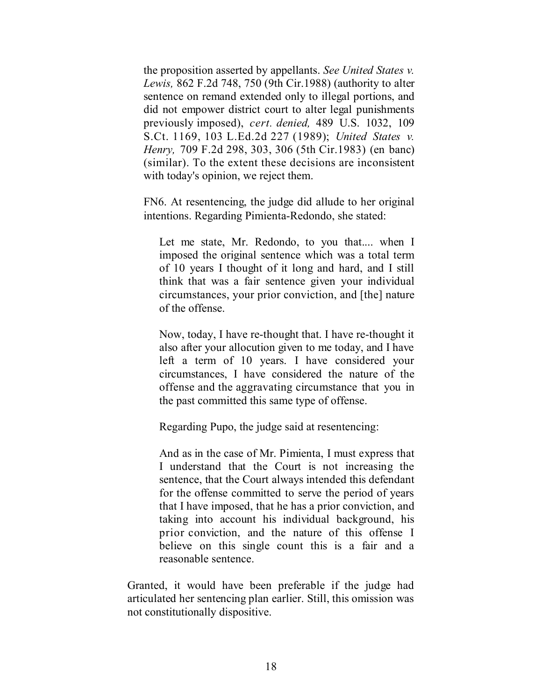the proposition asserted by appellants. *See United States v. Lewis,* 862 F.2d 748, 750 (9th Cir.1988) (authority to alter sentence on remand extended only to illegal portions, and did not empower district court to alter legal punishments previously imposed), *cert. denied,* 489 U.S. 1032, 109 S.Ct. 1169, 103 L.Ed.2d 227 (1989); *United States v. Henry,* 709 F.2d 298, 303, 306 (5th Cir.1983) (en banc) (similar). To the extent these decisions are inconsistent with today's opinion, we reject them.

FN6. At resentencing, the judge did allude to her original intentions. Regarding Pimienta-Redondo, she stated:

Let me state, Mr. Redondo, to you that.... when I imposed the original sentence which was a total term of 10 years I thought of it long and hard, and I still think that was a fair sentence given your individual circumstances, your prior conviction, and [the] nature of the offense.

Now, today, I have re-thought that. I have re-thought it also after your allocution given to me today, and I have left a term of 10 years. I have considered your circumstances, I have considered the nature of the offense and the aggravating circumstance that you in the past committed this same type of offense.

Regarding Pupo, the judge said at resentencing:

And as in the case of Mr. Pimienta, I must express that I understand that the Court is not increasing the sentence, that the Court always intended this defendant for the offense committed to serve the period of years that I have imposed, that he has a prior conviction, and taking into account his individual background, his prior conviction, and the nature of this offense I believe on this single count this is a fair and a reasonable sentence.

Granted, it would have been preferable if the judge had articulated her sentencing plan earlier. Still, this omission was not constitutionally dispositive.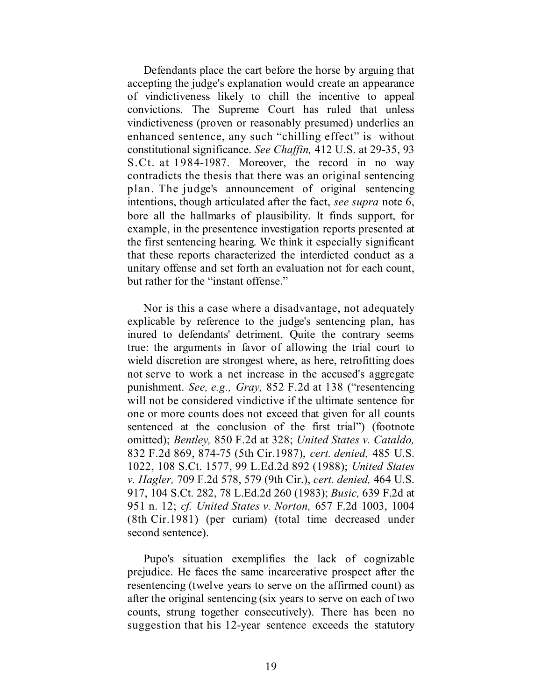Defendants place the cart before the horse by arguing that accepting the judge's explanation would create an appearance of vindictiveness likely to chill the incentive to appeal convictions. The Supreme Court has ruled that unless vindictiveness (proven or reasonably presumed) underlies an enhanced sentence, any such "chilling effect" is without constitutional significance. *See Chaffin,* 412 U.S. at 29-35, 93 S.Ct. at 1984-1987. Moreover, the record in no way contradicts the thesis that there was an original sentencing plan. The judge's announcement of original sentencing intentions, though articulated after the fact, *see supra* note 6, bore all the hallmarks of plausibility. It finds support, for example, in the presentence investigation reports presented at the first sentencing hearing. We think it especially significant that these reports characterized the interdicted conduct as a unitary offense and set forth an evaluation not for each count, but rather for the "instant offense."

Nor is this a case where a disadvantage, not adequately explicable by reference to the judge's sentencing plan, has inured to defendants' detriment. Quite the contrary seems true: the arguments in favor of allowing the trial court to wield discretion are strongest where, as here, retrofitting does not serve to work a net increase in the accused's aggregate punishment. *See, e.g., Gray,* 852 F.2d at 138 ("resentencing will not be considered vindictive if the ultimate sentence for one or more counts does not exceed that given for all counts sentenced at the conclusion of the first trial") (footnote omitted); *Bentley,* 850 F.2d at 328; *United States v. Cataldo,* 832 F.2d 869, 874-75 (5th Cir.1987), *cert. denied,* 485 U.S. 1022, 108 S.Ct. 1577, 99 L.Ed.2d 892 (1988); *United States v. Hagler,* 709 F.2d 578, 579 (9th Cir.), *cert. denied,* 464 U.S. 917, 104 S.Ct. 282, 78 L.Ed.2d 260 (1983); *Busic,* 639 F.2d at 951 n. 12; *cf. United States v. Norton,* 657 F.2d 1003, 1004 (8th Cir.1981) (per curiam) (total time decreased under second sentence).

Pupo's situation exemplifies the lack of cognizable prejudice. He faces the same incarcerative prospect after the resentencing (twelve years to serve on the affirmed count) as after the original sentencing (six years to serve on each of two counts, strung together consecutively). There has been no suggestion that his 12-year sentence exceeds the statutory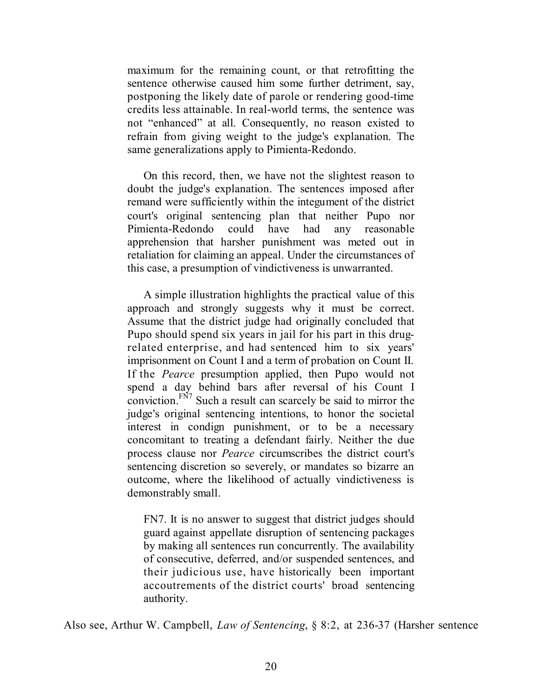maximum for the remaining count, or that retrofitting the sentence otherwise caused him some further detriment, say, postponing the likely date of parole or rendering good-time credits less attainable. In real-world terms, the sentence was not "enhanced" at all. Consequently, no reason existed to refrain from giving weight to the judge's explanation. The same generalizations apply to Pimienta-Redondo.

On this record, then, we have not the slightest reason to doubt the judge's explanation. The sentences imposed after remand were sufficiently within the integument of the district court's original sentencing plan that neither Pupo nor Pimienta-Redondo could have had any reasonable apprehension that harsher punishment was meted out in retaliation for claiming an appeal. Under the circumstances of this case, a presumption of vindictiveness is unwarranted.

A simple illustration highlights the practical value of this approach and strongly suggests why it must be correct. Assume that the district judge had originally concluded that Pupo should spend six years in jail for his part in this drugrelated enterprise, and had sentenced him to six years' imprisonment on Count I and a term of probation on Count II. If the *Pearce* presumption applied, then Pupo would not spend a day behind bars after reversal of his Count I conviction. $F<sup>N7</sup>$  Such a result can scarcely be said to mirror the judge's original sentencing intentions, to honor the societal interest in condign punishment, or to be a necessary concomitant to treating a defendant fairly. Neither the due process clause nor *Pearce* circumscribes the district court's sentencing discretion so severely, or mandates so bizarre an outcome, where the likelihood of actually vindictiveness is demonstrably small.

FN7. It is no answer to suggest that district judges should guard against appellate disruption of sentencing packages by making all sentences run concurrently. The availability of consecutive, deferred, and/or suspended sentences, and their judicious use, have historically been important accoutrements of the district courts' broad sentencing authority.

Also see, Arthur W. Campbell, *Law of Sentencing*, § 8:2, at 236-37 (Harsher sentence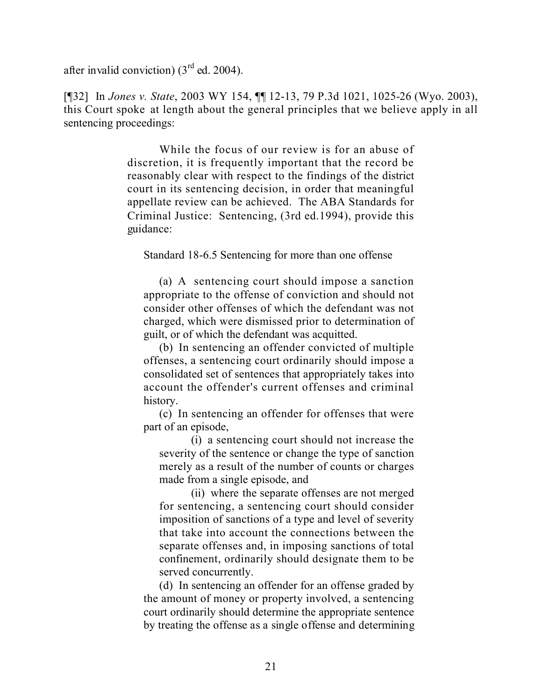after invalid conviction)  $(3<sup>rd</sup>$  ed. 2004).

[¶32] In *Jones v. State*, 2003 WY 154, ¶¶ 12-13, 79 P.3d 1021, 1025-26 (Wyo. 2003), this Court spoke at length about the general principles that we believe apply in all sentencing proceedings:

> While the focus of our review is for an abuse of discretion, it is frequently important that the record be reasonably clear with respect to the findings of the district court in its sentencing decision, in order that meaningful appellate review can be achieved. The ABA Standards for Criminal Justice: Sentencing, (3rd ed.1994), provide this guidance:

Standard 18-6.5 Sentencing for more than one offense

(a) A sentencing court should impose a sanction appropriate to the offense of conviction and should not consider other offenses of which the defendant was not charged, which were dismissed prior to determination of guilt, or of which the defendant was acquitted.

(b) In sentencing an offender convicted of multiple offenses, a sentencing court ordinarily should impose a consolidated set of sentences that appropriately takes into account the offender's current offenses and criminal history.

(c) In sentencing an offender for offenses that were part of an episode,

(i) a sentencing court should not increase the severity of the sentence or change the type of sanction merely as a result of the number of counts or charges made from a single episode, and

(ii) where the separate offenses are not merged for sentencing, a sentencing court should consider imposition of sanctions of a type and level of severity that take into account the connections between the separate offenses and, in imposing sanctions of total confinement, ordinarily should designate them to be served concurrently.

(d) In sentencing an offender for an offense graded by the amount of money or property involved, a sentencing court ordinarily should determine the appropriate sentence by treating the offense as a single offense and determining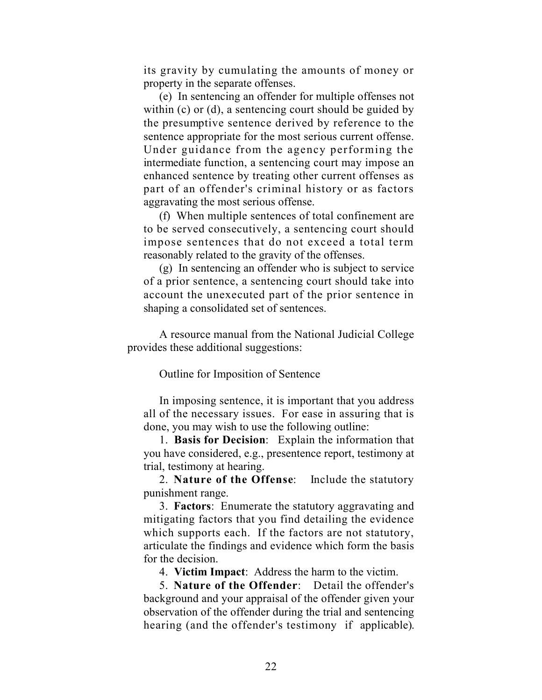its gravity by cumulating the amounts of money or property in the separate offenses.

(e) In sentencing an offender for multiple offenses not within (c) or (d), a sentencing court should be guided by the presumptive sentence derived by reference to the sentence appropriate for the most serious current offense. Under guidance from the agency performing the intermediate function, a sentencing court may impose an enhanced sentence by treating other current offenses as part of an offender's criminal history or as factors aggravating the most serious offense.

(f) When multiple sentences of total confinement are to be served consecutively, a sentencing court should impose sentences that do not exceed a total term reasonably related to the gravity of the offenses.

(g) In sentencing an offender who is subject to service of a prior sentence, a sentencing court should take into account the unexecuted part of the prior sentence in shaping a consolidated set of sentences.

A resource manual from the National Judicial College provides these additional suggestions:

Outline for Imposition of Sentence

In imposing sentence, it is important that you address all of the necessary issues. For ease in assuring that is done, you may wish to use the following outline:

1. **Basis for Decision**: Explain the information that you have considered, e.g., presentence report, testimony at trial, testimony at hearing.

2. **Nature of the Offense**: Include the statutory punishment range.

3. **Factors**: Enumerate the statutory aggravating and mitigating factors that you find detailing the evidence which supports each. If the factors are not statutory, articulate the findings and evidence which form the basis for the decision.

4. **Victim Impact**: Address the harm to the victim.

5. **Nature of the Offender**: Detail the offender's background and your appraisal of the offender given your observation of the offender during the trial and sentencing hearing (and the offender's testimony if applicable).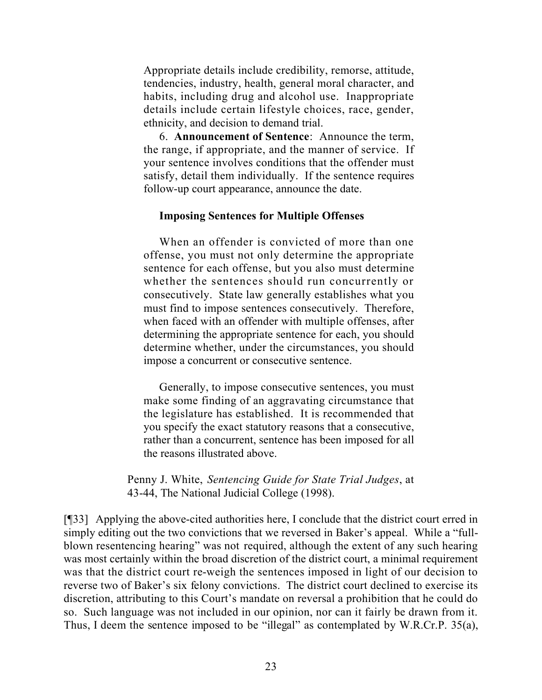Appropriate details include credibility, remorse, attitude, tendencies, industry, health, general moral character, and habits, including drug and alcohol use. Inappropriate details include certain lifestyle choices, race, gender, ethnicity, and decision to demand trial.

6. **Announcement of Sentence**: Announce the term, the range, if appropriate, and the manner of service. If your sentence involves conditions that the offender must satisfy, detail them individually. If the sentence requires follow-up court appearance, announce the date.

#### **Imposing Sentences for Multiple Offenses**

When an offender is convicted of more than one offense, you must not only determine the appropriate sentence for each offense, but you also must determine whether the sentences should run concurrently or consecutively. State law generally establishes what you must find to impose sentences consecutively. Therefore, when faced with an offender with multiple offenses, after determining the appropriate sentence for each, you should determine whether, under the circumstances, you should impose a concurrent or consecutive sentence.

Generally, to impose consecutive sentences, you must make some finding of an aggravating circumstance that the legislature has established. It is recommended that you specify the exact statutory reasons that a consecutive, rather than a concurrent, sentence has been imposed for all the reasons illustrated above.

Penny J. White, *Sentencing Guide for State Trial Judges*, at 43-44, The National Judicial College (1998).

[¶33] Applying the above-cited authorities here, I conclude that the district court erred in simply editing out the two convictions that we reversed in Baker's appeal. While a "fullblown resentencing hearing" was not required, although the extent of any such hearing was most certainly within the broad discretion of the district court, a minimal requirement was that the district court re-weigh the sentences imposed in light of our decision to reverse two of Baker's six felony convictions. The district court declined to exercise its discretion, attributing to this Court's mandate on reversal a prohibition that he could do so. Such language was not included in our opinion, nor can it fairly be drawn from it. Thus, I deem the sentence imposed to be "illegal" as contemplated by W.R.Cr.P. 35(a),